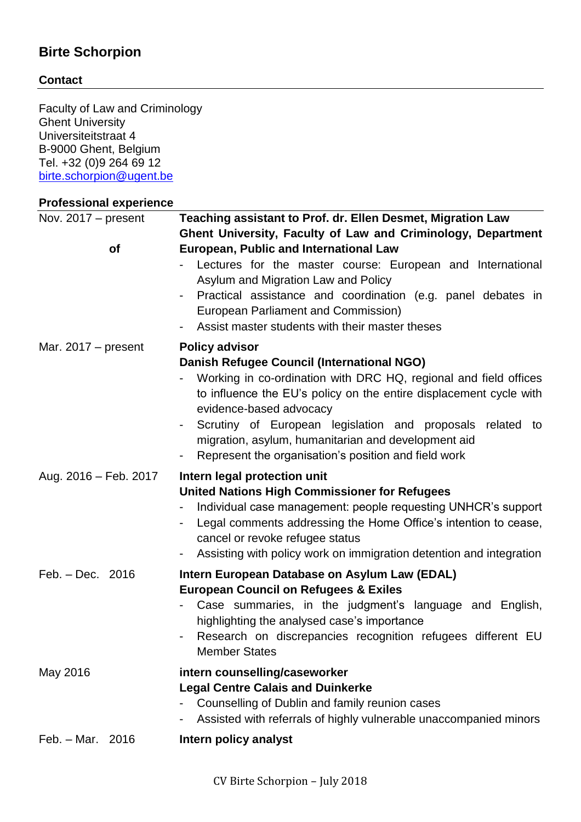# **Birte Schorpion**

## **Contact**

Faculty of Law and Criminology Ghent University Universiteitstraat 4 B-9000 Ghent, Belgium Tel. +32 (0)9 264 69 12 [birte.schorpion@ugent.be](mailto:birte.schorpion@ugent.be)

## **Professional experience**

| Nov. $2017 - present$ | Teaching assistant to Prof. dr. Ellen Desmet, Migration Law                                                                                                                                                                                                                                                                                                                                        |  |  |
|-----------------------|----------------------------------------------------------------------------------------------------------------------------------------------------------------------------------------------------------------------------------------------------------------------------------------------------------------------------------------------------------------------------------------------------|--|--|
|                       | Ghent University, Faculty of Law and Criminology, Department                                                                                                                                                                                                                                                                                                                                       |  |  |
| of                    | <b>European, Public and International Law</b><br>- Lectures for the master course: European and International<br>Asylum and Migration Law and Policy<br>Practical assistance and coordination (e.g. panel debates in<br>European Parliament and Commission)<br>Assist master students with their master theses                                                                                     |  |  |
| Mar. $2017 - present$ | <b>Policy advisor</b>                                                                                                                                                                                                                                                                                                                                                                              |  |  |
|                       | <b>Danish Refugee Council (International NGO)</b><br>Working in co-ordination with DRC HQ, regional and field offices<br>to influence the EU's policy on the entire displacement cycle with<br>evidence-based advocacy<br>Scrutiny of European legislation and proposals related to<br>migration, asylum, humanitarian and development aid<br>Represent the organisation's position and field work |  |  |
| Aug. 2016 - Feb. 2017 | Intern legal protection unit<br><b>United Nations High Commissioner for Refugees</b><br>Individual case management: people requesting UNHCR's support<br>Legal comments addressing the Home Office's intention to cease,<br>cancel or revoke refugee status<br>Assisting with policy work on immigration detention and integration                                                                 |  |  |
| Feb. - Dec. 2016      | Intern European Database on Asylum Law (EDAL)<br><b>European Council on Refugees &amp; Exiles</b><br>Case summaries, in the judgment's language and English,<br>highlighting the analysed case's importance<br>Research on discrepancies recognition refugees different EU<br><b>Member States</b>                                                                                                 |  |  |
| May 2016              | intern counselling/caseworker<br><b>Legal Centre Calais and Duinkerke</b><br>Counselling of Dublin and family reunion cases<br>Assisted with referrals of highly vulnerable unaccompanied minors                                                                                                                                                                                                   |  |  |
| Feb. - Mar. 2016      | Intern policy analyst                                                                                                                                                                                                                                                                                                                                                                              |  |  |